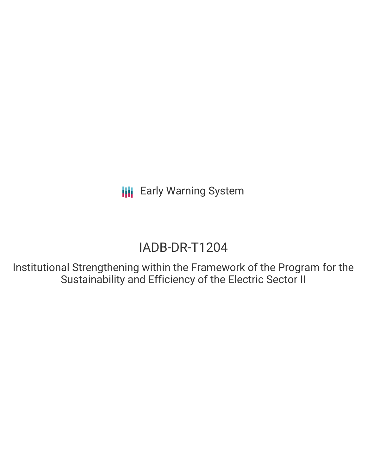# IADB-DR-T1204

Institutional Strengthening within the Framework of the Program for the Sustainability and Efficiency of the Electric Sector II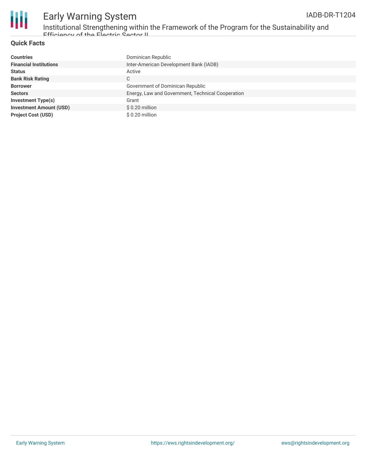

Institutional Strengthening within the Framework of the Program for the Sustainability and Efficiency of the Electric Sector II

#### **Quick Facts**

| <b>Countries</b>               | Dominican Republic                                |
|--------------------------------|---------------------------------------------------|
| <b>Financial Institutions</b>  | Inter-American Development Bank (IADB)            |
| <b>Status</b>                  | Active                                            |
| <b>Bank Risk Rating</b>        | C.                                                |
| <b>Borrower</b>                | Government of Dominican Republic                  |
| <b>Sectors</b>                 | Energy, Law and Government, Technical Cooperation |
| <b>Investment Type(s)</b>      | Grant                                             |
| <b>Investment Amount (USD)</b> | $$0.20$ million                                   |
| <b>Project Cost (USD)</b>      | \$0.20 million                                    |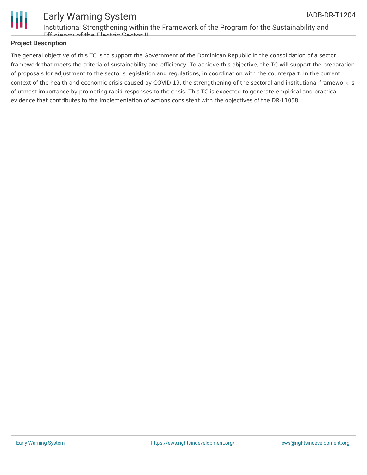

Institutional Strengthening within the Framework of the Program for the Sustainability and Efficiency of the Electric Sector II

#### **Project Description**

The general objective of this TC is to support the Government of the Dominican Republic in the consolidation of a sector framework that meets the criteria of sustainability and efficiency. To achieve this objective, the TC will support the preparation of proposals for adjustment to the sector's legislation and regulations, in coordination with the counterpart. In the current context of the health and economic crisis caused by COVID-19, the strengthening of the sectoral and institutional framework is of utmost importance by promoting rapid responses to the crisis. This TC is expected to generate empirical and practical evidence that contributes to the implementation of actions consistent with the objectives of the DR-L1058.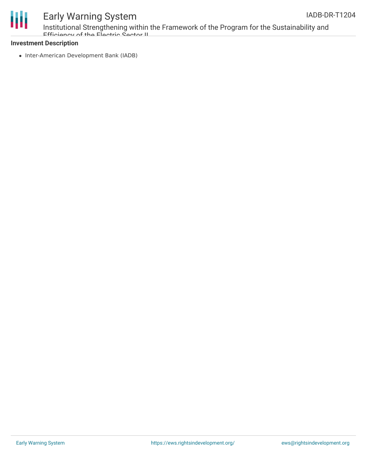



Institutional Strengthening within the Framework of the Program for the Sustainability and Efficioncy of the Electric Sector II

#### **Investment Description**

• Inter-American Development Bank (IADB)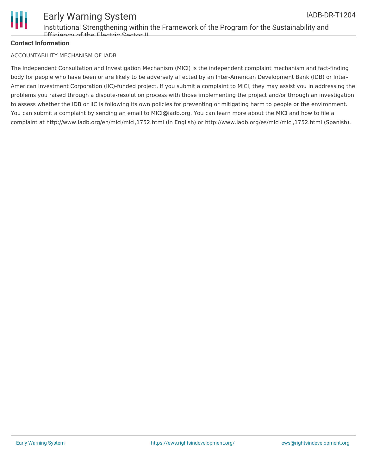

#### Early Warning System Institutional Strengthening within the Framework of the Program for the Sustainability and Efficiency of the Electric Sector II IADB-DR-T1204

#### **Contact Information**

#### ACCOUNTABILITY MECHANISM OF IADB

The Independent Consultation and Investigation Mechanism (MICI) is the independent complaint mechanism and fact-finding body for people who have been or are likely to be adversely affected by an Inter-American Development Bank (IDB) or Inter-American Investment Corporation (IIC)-funded project. If you submit a complaint to MICI, they may assist you in addressing the problems you raised through a dispute-resolution process with those implementing the project and/or through an investigation to assess whether the IDB or IIC is following its own policies for preventing or mitigating harm to people or the environment. You can submit a complaint by sending an email to MICI@iadb.org. You can learn more about the MICI and how to file a complaint at http://www.iadb.org/en/mici/mici,1752.html (in English) or http://www.iadb.org/es/mici/mici,1752.html (Spanish).